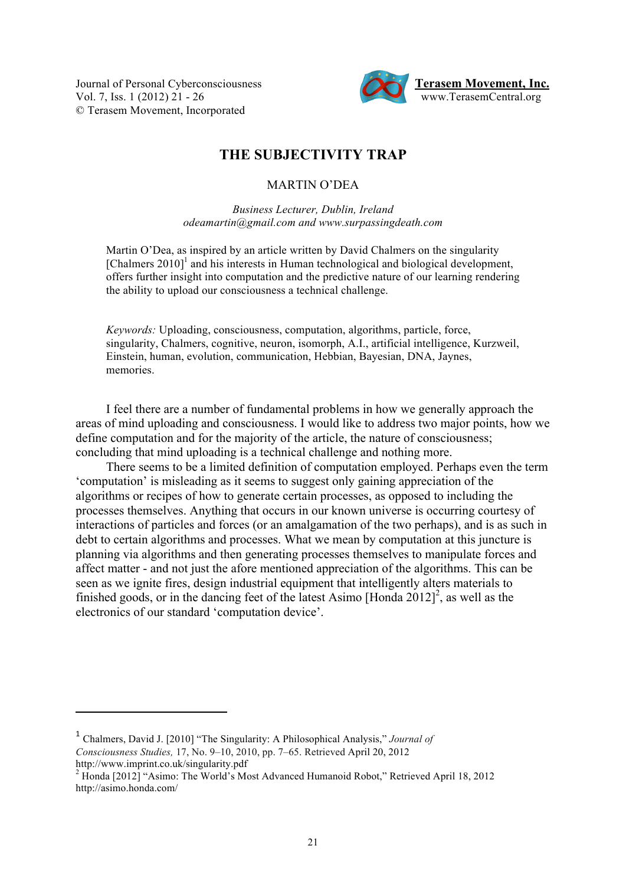**Journal of Personal Cyberconsciousness** © Terasem Movement, Incorporated



## **THE SUBJECTIVITY TRAP**

## MARTIN O'DEA

*Business Lecturer, Dublin, Ireland odeamartin@gmail.com and www.surpassingdeath.com*

Martin O'Dea, as inspired by an article written by David Chalmers on the singularity [Chalmers 2010]<sup>1</sup> and his interests in Human technological and biological development, offers further insight into computation and the predictive nature of our learning rendering the ability to upload our consciousness a technical challenge.

*Keywords:* Uploading, consciousness, computation, algorithms, particle, force, singularity, Chalmers, cognitive, neuron, isomorph, A.I., artificial intelligence, Kurzweil, Einstein, human, evolution, communication, Hebbian, Bayesian, DNA, Jaynes, memories.

I feel there are a number of fundamental problems in how we generally approach the areas of mind uploading and consciousness. I would like to address two major points, how we define computation and for the majority of the article, the nature of consciousness; concluding that mind uploading is a technical challenge and nothing more.

There seems to be a limited definition of computation employed. Perhaps even the term 'computation' is misleading as it seems to suggest only gaining appreciation of the algorithms or recipes of how to generate certain processes, as opposed to including the processes themselves. Anything that occurs in our known universe is occurring courtesy of interactions of particles and forces (or an amalgamation of the two perhaps), and is as such in debt to certain algorithms and processes. What we mean by computation at this juncture is planning via algorithms and then generating processes themselves to manipulate forces and affect matter - and not just the afore mentioned appreciation of the algorithms. This can be seen as we ignite fires, design industrial equipment that intelligently alters materials to finished goods, or in the dancing feet of the latest Asimo [Honda  $2012$ ]<sup>2</sup>, as well as the electronics of our standard 'computation device'.

<sup>1</sup> Chalmers, David J. [2010] "The Singularity: A Philosophical Analysis," *Journal of Consciousness Studies,* 17, No. 9–10, 2010, pp. 7–65. Retrieved April 20, 2012 http://www.imprint.co.uk/singularity.pdf 2

<sup>&</sup>lt;sup>2</sup> Honda [2012] "Asimo: The World's Most Advanced Humanoid Robot," Retrieved April 18, 2012 http://asimo.honda.com/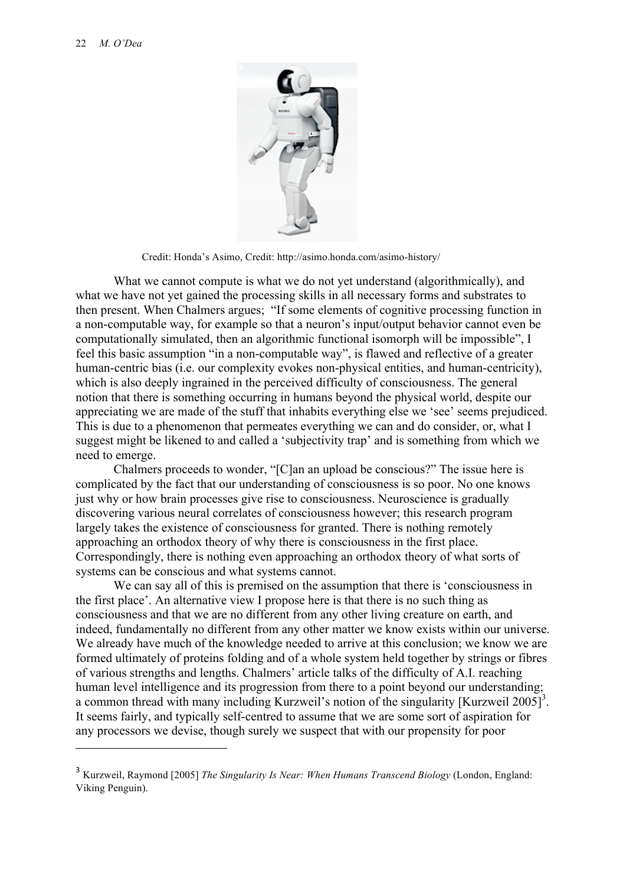

Credit: Honda's Asimo, Credit: http://asimo.honda.com/asimo-history/

What we cannot compute is what we do not yet understand (algorithmically), and what we have not yet gained the processing skills in all necessary forms and substrates to then present. When Chalmers argues; "If some elements of cognitive processing function in a non-computable way, for example so that a neuron's input/output behavior cannot even be computationally simulated, then an algorithmic functional isomorph will be impossible", I feel this basic assumption "in a non-computable way", is flawed and reflective of a greater human-centric bias (i.e. our complexity evokes non-physical entities, and human-centricity), which is also deeply ingrained in the perceived difficulty of consciousness. The general notion that there is something occurring in humans beyond the physical world, despite our appreciating we are made of the stuff that inhabits everything else we 'see' seems prejudiced. This is due to a phenomenon that permeates everything we can and do consider, or, what I suggest might be likened to and called a 'subjectivity trap' and is something from which we need to emerge.

Chalmers proceeds to wonder, "[C]an an upload be conscious?" The issue here is complicated by the fact that our understanding of consciousness is so poor. No one knows just why or how brain processes give rise to consciousness. Neuroscience is gradually discovering various neural correlates of consciousness however; this research program largely takes the existence of consciousness for granted. There is nothing remotely approaching an orthodox theory of why there is consciousness in the first place. Correspondingly, there is nothing even approaching an orthodox theory of what sorts of systems can be conscious and what systems cannot.

We can say all of this is premised on the assumption that there is 'consciousness in the first place'. An alternative view I propose here is that there is no such thing as consciousness and that we are no different from any other living creature on earth, and indeed, fundamentally no different from any other matter we know exists within our universe. We already have much of the knowledge needed to arrive at this conclusion; we know we are formed ultimately of proteins folding and of a whole system held together by strings or fibres of various strengths and lengths. Chalmers' article talks of the difficulty of A.I. reaching human level intelligence and its progression from there to a point beyond our understanding; a common thread with many including Kurzweil's notion of the singularity [Kurzweil 2005]<sup>3</sup>. It seems fairly, and typically self-centred to assume that we are some sort of aspiration for any processors we devise, though surely we suspect that with our propensity for poor

<sup>3</sup> Kurzweil, Raymond [2005] *The Singularity Is Near: When Humans Transcend Biology* (London, England: Viking Penguin).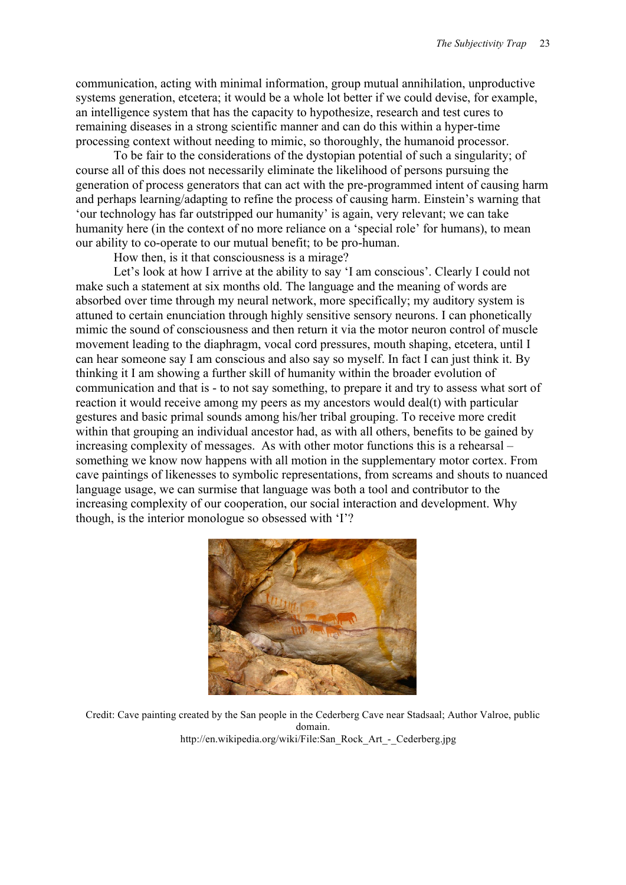communication, acting with minimal information, group mutual annihilation, unproductive systems generation, etcetera; it would be a whole lot better if we could devise, for example, an intelligence system that has the capacity to hypothesize, research and test cures to remaining diseases in a strong scientific manner and can do this within a hyper-time processing context without needing to mimic, so thoroughly, the humanoid processor.

To be fair to the considerations of the dystopian potential of such a singularity; of course all of this does not necessarily eliminate the likelihood of persons pursuing the generation of process generators that can act with the pre-programmed intent of causing harm and perhaps learning/adapting to refine the process of causing harm. Einstein's warning that 'our technology has far outstripped our humanity' is again, very relevant; we can take humanity here (in the context of no more reliance on a 'special role' for humans), to mean our ability to co-operate to our mutual benefit; to be pro-human.

How then, is it that consciousness is a mirage?

Let's look at how I arrive at the ability to say 'I am conscious'. Clearly I could not make such a statement at six months old. The language and the meaning of words are absorbed over time through my neural network, more specifically; my auditory system is attuned to certain enunciation through highly sensitive sensory neurons. I can phonetically mimic the sound of consciousness and then return it via the motor neuron control of muscle movement leading to the diaphragm, vocal cord pressures, mouth shaping, etcetera, until I can hear someone say I am conscious and also say so myself. In fact I can just think it. By thinking it I am showing a further skill of humanity within the broader evolution of communication and that is - to not say something, to prepare it and try to assess what sort of reaction it would receive among my peers as my ancestors would deal(t) with particular gestures and basic primal sounds among his/her tribal grouping. To receive more credit within that grouping an individual ancestor had, as with all others, benefits to be gained by increasing complexity of messages. As with other motor functions this is a rehearsal – something we know now happens with all motion in the supplementary motor cortex. From cave paintings of likenesses to symbolic representations, from screams and shouts to nuanced language usage, we can surmise that language was both a tool and contributor to the increasing complexity of our cooperation, our social interaction and development. Why though, is the interior monologue so obsessed with 'I'?



Credit: Cave painting created by the San people in the Cederberg Cave near Stadsaal; Author Valroe, public domain. http://en.wikipedia.org/wiki/File:San\_Rock\_Art\_-\_Cederberg.jpg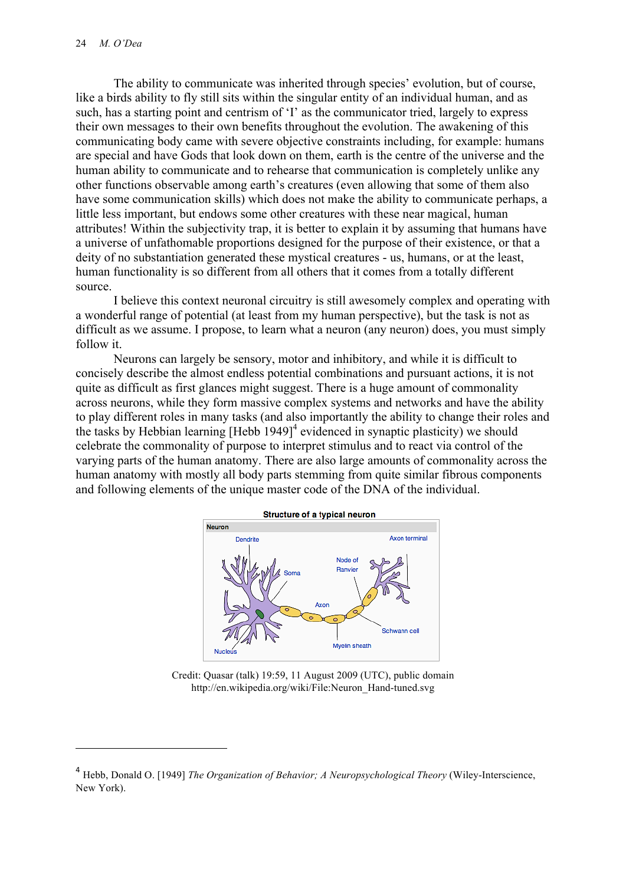The ability to communicate was inherited through species' evolution, but of course, like a birds ability to fly still sits within the singular entity of an individual human, and as such, has a starting point and centrism of 'I' as the communicator tried, largely to express their own messages to their own benefits throughout the evolution. The awakening of this communicating body came with severe objective constraints including, for example: humans are special and have Gods that look down on them, earth is the centre of the universe and the human ability to communicate and to rehearse that communication is completely unlike any other functions observable among earth's creatures (even allowing that some of them also have some communication skills) which does not make the ability to communicate perhaps, a little less important, but endows some other creatures with these near magical, human attributes! Within the subjectivity trap, it is better to explain it by assuming that humans have a universe of unfathomable proportions designed for the purpose of their existence, or that a deity of no substantiation generated these mystical creatures - us, humans, or at the least, human functionality is so different from all others that it comes from a totally different source.

I believe this context neuronal circuitry is still awesomely complex and operating with a wonderful range of potential (at least from my human perspective), but the task is not as difficult as we assume. I propose, to learn what a neuron (any neuron) does, you must simply follow it.

Neurons can largely be sensory, motor and inhibitory, and while it is difficult to concisely describe the almost endless potential combinations and pursuant actions, it is not quite as difficult as first glances might suggest. There is a huge amount of commonality across neurons, while they form massive complex systems and networks and have the ability to play different roles in many tasks (and also importantly the ability to change their roles and the tasks by Hebbian learning  $[Hebb 1949]^4$  evidenced in synaptic plasticity) we should celebrate the commonality of purpose to interpret stimulus and to react via control of the varying parts of the human anatomy. There are also large amounts of commonality across the human anatomy with mostly all body parts stemming from quite similar fibrous components and following elements of the unique master code of the DNA of the individual.



Credit: Quasar (talk) 19:59, 11 August 2009 (UTC), public domain http://en.wikipedia.org/wiki/File:Neuron\_Hand-tuned.svg

<sup>&</sup>lt;sup>4</sup> Hebb, Donald O. [1949] *The Organization of Behavior; A Neuropsychological Theory* (Wiley-Interscience, New York).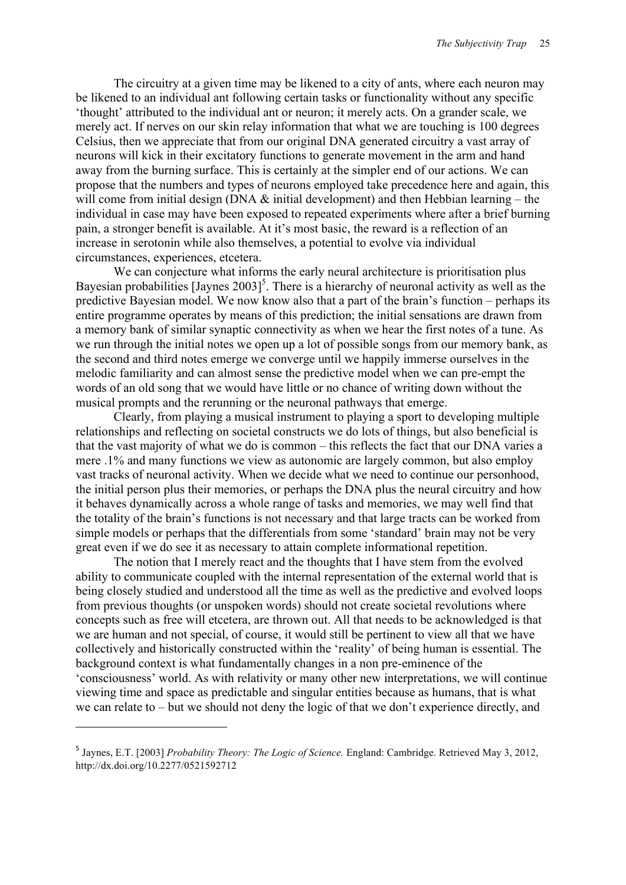The circuitry at a given time may be likened to a city of ants, where each neuron may be likened to an individual ant following certain tasks or functionality without any specific 'thought' attributed to the individual ant or neuron; it merely acts. On a grander scale, we merely act. If nerves on our skin relay information that what we are touching is 100 degrees Celsius, then we appreciate that from our original DNA generated circuitry a vast array of neurons will kick in their excitatory functions to generate movement in the arm and hand away from the burning surface. This is certainly at the simpler end of our actions. We can propose that the numbers and types of neurons employed take precedence here and again, this will come from initial design (DNA  $\&$  initial development) and then Hebbian learning – the individual in case may have been exposed to repeated experiments where after a brief burning pain, a stronger benefit is available. At it's most basic, the reward is a reflection of an increase in serotonin while also themselves, a potential to evolve via individual circumstances, experiences, etcetera.

We can conjecture what informs the early neural architecture is prioritisation plus Bayesian probabilities [Jaynes  $2003$ ]<sup>5</sup>. There is a hierarchy of neuronal activity as well as the predictive Bayesian model. We now know also that a part of the brain's function – perhaps its entire programme operates by means of this prediction; the initial sensations are drawn from a memory bank of similar synaptic connectivity as when we hear the first notes of a tune. As we run through the initial notes we open up a lot of possible songs from our memory bank, as the second and third notes emerge we converge until we happily immerse ourselves in the melodic familiarity and can almost sense the predictive model when we can pre-empt the words of an old song that we would have little or no chance of writing down without the musical prompts and the rerunning or the neuronal pathways that emerge.

Clearly, from playing a musical instrument to playing a sport to developing multiple relationships and reflecting on societal constructs we do lots of things, but also beneficial is that the vast majority of what we do is common – this reflects the fact that our DNA varies a mere .1% and many functions we view as autonomic are largely common, but also employ vast tracks of neuronal activity. When we decide what we need to continue our personhood, the initial person plus their memories, or perhaps the DNA plus the neural circuitry and how it behaves dynamically across a whole range of tasks and memories, we may well find that the totality of the brain's functions is not necessary and that large tracts can be worked from simple models or perhaps that the differentials from some 'standard' brain may not be very great even if we do see it as necessary to attain complete informational repetition.

The notion that I merely react and the thoughts that I have stem from the evolved ability to communicate coupled with the internal representation of the external world that is being closely studied and understood all the time as well as the predictive and evolved loops from previous thoughts (or unspoken words) should not create societal revolutions where concepts such as free will etcetera, are thrown out. All that needs to be acknowledged is that we are human and not special, of course, it would still be pertinent to view all that we have collectively and historically constructed within the 'reality' of being human is essential. The background context is what fundamentally changes in a non pre-eminence of the 'consciousness' world. As with relativity or many other new interpretations, we will continue viewing time and space as predictable and singular entities because as humans, that is what we can relate to – but we should not deny the logic of that we don't experience directly, and

<sup>5</sup> Jaynes, E.T. [2003] *Probability Theory: The Logic of Science.* England: Cambridge. Retrieved May 3, 2012, http://dx.doi.org/10.2277/0521592712